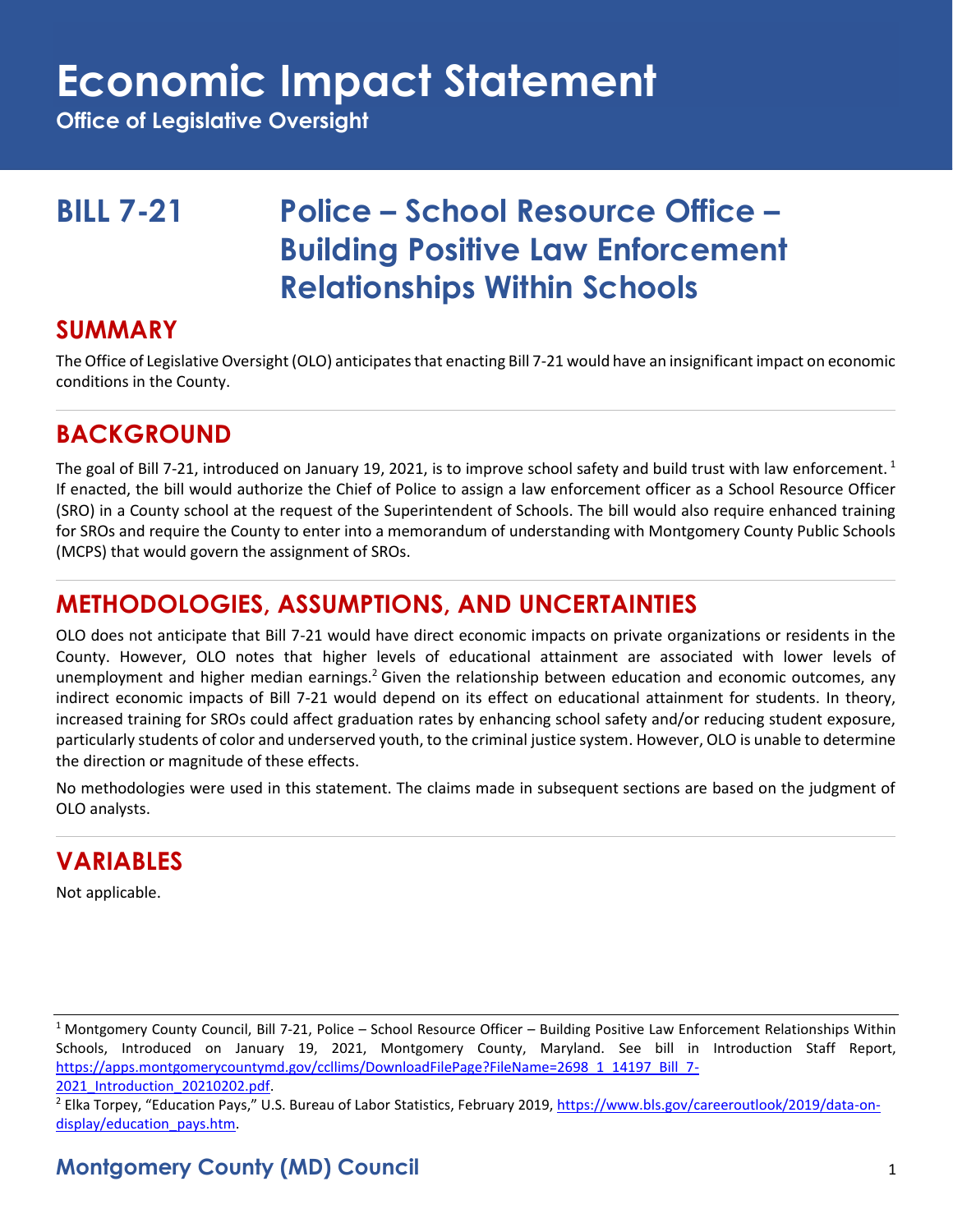## **Economic Impact Statement**

**Office of Legislative Oversight**

## **BILL 7-21 Police – School Resource Office – Building Positive Law Enforcement Relationships Within Schools**

#### **SUMMARY**

The Office of Legislative Oversight (OLO) anticipates that enacting Bill 7-21 would have an insignificant impact on economic conditions in the County.

## **BACKGROUND**

The goal of Bill 7-21, introduced on January 19, 2021, is to improve school safety and build trust with law enforcement.  $1$ If enacted, the bill would authorize the Chief of Police to assign a law enforcement officer as a School Resource Officer (SRO) in a County school at the request of the Superintendent of Schools. The bill would also require enhanced training for SROs and require the County to enter into a memorandum of understanding with Montgomery County Public Schools (MCPS) that would govern the assignment of SROs.

## **METHODOLOGIES, ASSUMPTIONS, AND UNCERTAINTIES**

OLO does not anticipate that Bill 7-21 would have direct economic impacts on private organizations or residents in the County. However, OLO notes that higher levels of educational attainment are associated with lower levels of unemployment and higher median earnings.<sup>2</sup> Given the relationship between education and economic outcomes, any indirect economic impacts of Bill 7-21 would depend on its effect on educational attainment for students. In theory, increased training for SROs could affect graduation rates by enhancing school safety and/or reducing student exposure, particularly students of color and underserved youth, to the criminal justice system. However, OLO is unable to determine the direction or magnitude of these effects.

No methodologies were used in this statement. The claims made in subsequent sections are based on the judgment of OLO analysts.

### **VARIABLES**

Not applicable.

<sup>1</sup> Montgomery County Council, Bill 7-21, Police – School Resource Officer – Building Positive Law Enforcement Relationships Within Schools, Introduced on January 19, 2021, Montgomery County, Maryland. See bill in Introduction Staff Report, [https://apps.montgomerycountymd.gov/ccllims/DownloadFilePage?FileName=2698\\_1\\_14197\\_Bill\\_7-](https://apps.montgomerycountymd.gov/ccllims/DownloadFilePage?FileName=2698_1_14197_Bill_7-2021_Introduction_20210202.pdf) 2021 Introduction 20210202.pdf.

<sup>2</sup> Elka Torpey, "Education Pays," U.S. Bureau of Labor Statistics, February 2019, [https://www.bls.gov/careeroutlook/2019/data-on](https://www.bls.gov/careeroutlook/2019/data-on-display/education_pays.htm)display/education\_pays.htm.

#### **Montgomery County (MD) Council** 1